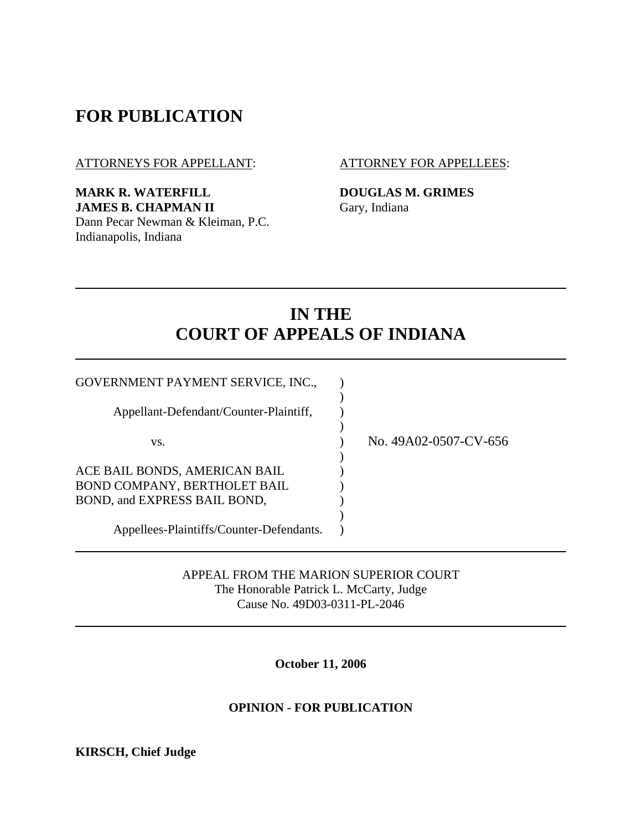## **FOR PUBLICATION**

ATTORNEYS FOR APPELLANT: ATTORNEY FOR APPELLEES:

**MARK R. WATERFILL DOUGLAS M. GRIMES JAMES B. CHAPMAN II** Gary, Indiana Dann Pecar Newman & Kleiman, P.C. Indianapolis, Indiana

# **IN THE COURT OF APPEALS OF INDIANA**

| GOVERNMENT PAYMENT SERVICE, INC.,        |                       |
|------------------------------------------|-----------------------|
|                                          |                       |
| Appellant-Defendant/Counter-Plaintiff,   |                       |
|                                          |                       |
| VS.                                      | No. 49A02-0507-CV-656 |
|                                          |                       |
| ACE BAIL BONDS, AMERICAN BAIL            |                       |
| BOND COMPANY, BERTHOLET BAIL             |                       |
| BOND, and EXPRESS BAIL BOND,             |                       |
|                                          |                       |
| Appellees-Plaintiffs/Counter-Defendants. |                       |

APPEAL FROM THE MARION SUPERIOR COURT The Honorable Patrick L. McCarty, Judge Cause No. 49D03-0311-PL-2046

**October 11, 2006** 

#### **OPINION - FOR PUBLICATION**

**KIRSCH, Chief Judge**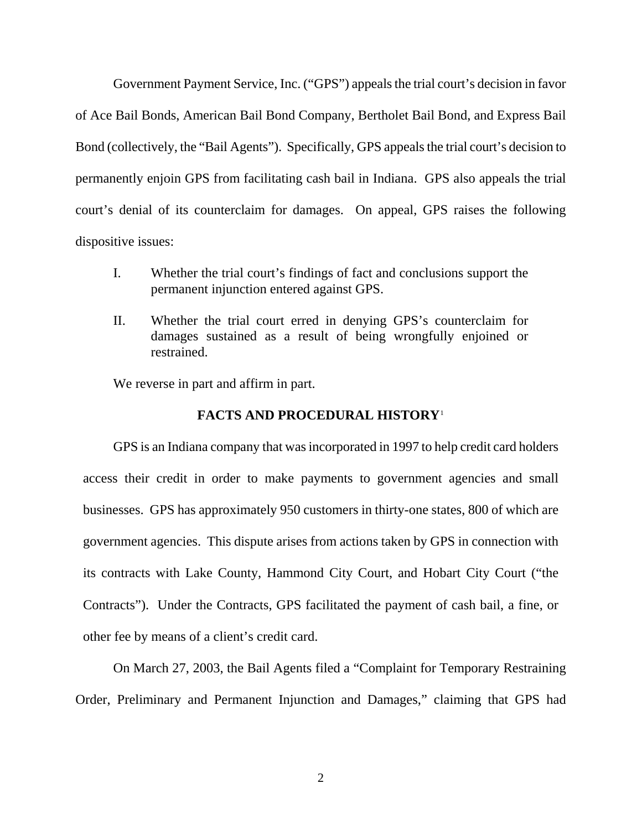Government Payment Service, Inc. ("GPS") appeals the trial court's decision in favor of Ace Bail Bonds, American Bail Bond Company, Bertholet Bail Bond, and Express Bail Bond (collectively, the "Bail Agents"). Specifically, GPS appeals the trial court's decision to permanently enjoin GPS from facilitating cash bail in Indiana. GPS also appeals the trial court's denial of its counterclaim for damages. On appeal, GPS raises the following dispositive issues:

- I. Whether the trial court's findings of fact and conclusions support the permanent injunction entered against GPS.
- II. Whether the trial court erred in denying GPS's counterclaim for damages sustained as a result of being wrongfully enjoined or restrained.

We reverse in part and affirm in part.

### **FACTS AND PROCEDURAL HISTORY**[1](#page-1-0)

<span id="page-1-0"></span> GPS is an Indiana company that was incorporated in 1997 to help credit card holders access their credit in order to make payments to government agencies and small businesses. GPS has approximately 950 customers in thirty-one states, 800 of which are government agencies. This dispute arises from actions taken by GPS in connection with its contracts with Lake County, Hammond City Court, and Hobart City Court ("the Contracts"). Under the Contracts, GPS facilitated the payment of cash bail, a fine, or other fee by means of a client's credit card.

 On March 27, 2003, the Bail Agents filed a "Complaint for Temporary Restraining Order, Preliminary and Permanent Injunction and Damages," claiming that GPS had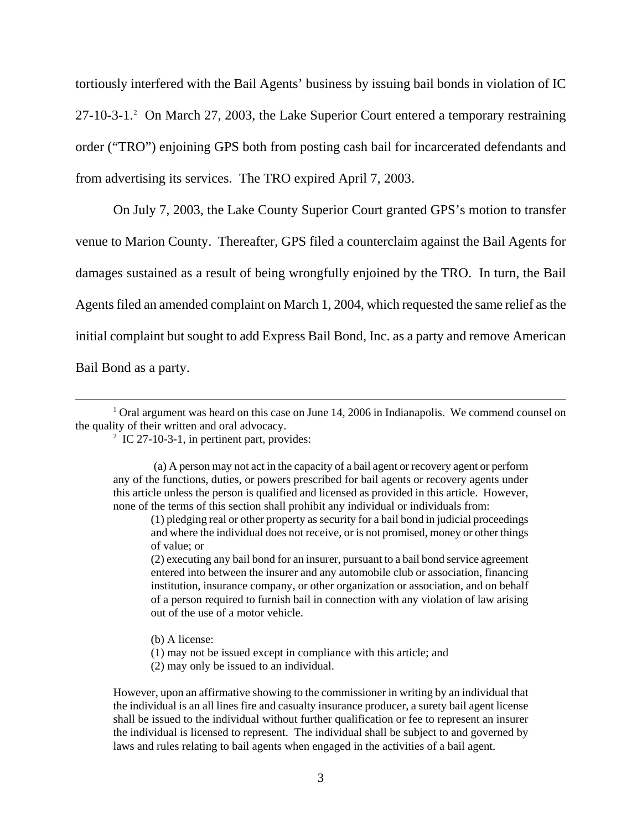<span id="page-2-0"></span>tortiously interfered with the Bail Agents' business by issuing bail bonds in violation of IC [2](#page-2-0)7-10-3-1.<sup>2</sup> On March 27, 2003, the Lake Superior Court entered a temporary restraining order ("TRO") enjoining GPS both from posting cash bail for incarcerated defendants and from advertising its services. The TRO expired April 7, 2003.

 On July 7, 2003, the Lake County Superior Court granted GPS's motion to transfer venue to Marion County. Thereafter, GPS filed a counterclaim against the Bail Agents for damages sustained as a result of being wrongfully enjoined by the TRO. In turn, the Bail Agents filed an amended complaint on March 1, 2004, which requested the same relief as the initial complaint but sought to add Express Bail Bond, Inc. as a party and remove American

Bail Bond as a party.

 $\overline{a}$ 

 $\frac{1}{2}$  IC 27-10-3-1, in pertinent part, provides:

 (a) A person may not act in the capacity of a bail agent or recovery agent or perform any of the functions, duties, or powers prescribed for bail agents or recovery agents under this article unless the person is qualified and licensed as provided in this article. However, none of the terms of this section shall prohibit any individual or individuals from:

- (b) A license:
- (1) may not be issued except in compliance with this article; and
- (2) may only be issued to an individual.

However, upon an affirmative showing to the commissioner in writing by an individual that the individual is an all lines fire and casualty insurance producer, a surety bail agent license shall be issued to the individual without further qualification or fee to represent an insurer the individual is licensed to represent. The individual shall be subject to and governed by laws and rules relating to bail agents when engaged in the activities of a bail agent.

<sup>&</sup>lt;sup>1</sup> Oral argument was heard on this case on June 14, 2006 in Indianapolis. We commend counsel on the quality of their written and oral advocacy.

<sup>(1)</sup> pledging real or other property as security for a bail bond in judicial proceedings and where the individual does not receive, or is not promised, money or other things of value; or

<sup>(2)</sup> executing any bail bond for an insurer, pursuant to a bail bond service agreement entered into between the insurer and any automobile club or association, financing institution, insurance company, or other organization or association, and on behalf of a person required to furnish bail in connection with any violation of law arising out of the use of a motor vehicle.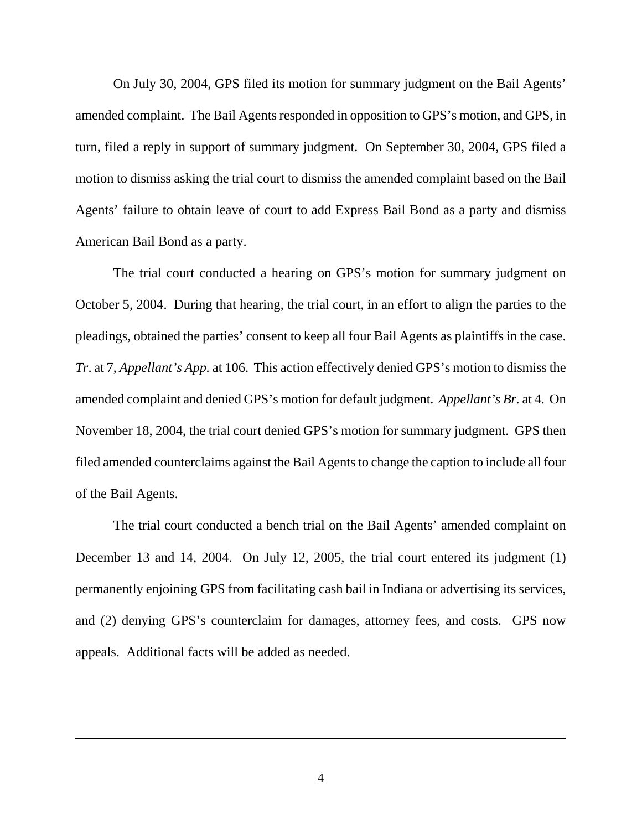On July 30, 2004, GPS filed its motion for summary judgment on the Bail Agents' amended complaint. The Bail Agents responded in opposition to GPS's motion, and GPS, in turn, filed a reply in support of summary judgment. On September 30, 2004, GPS filed a motion to dismiss asking the trial court to dismiss the amended complaint based on the Bail Agents' failure to obtain leave of court to add Express Bail Bond as a party and dismiss American Bail Bond as a party.

 The trial court conducted a hearing on GPS's motion for summary judgment on October 5, 2004. During that hearing, the trial court, in an effort to align the parties to the pleadings, obtained the parties' consent to keep all four Bail Agents as plaintiffs in the case. *Tr*. at 7, *Appellant's App.* at 106. This action effectively denied GPS's motion to dismiss the amended complaint and denied GPS's motion for default judgment. *Appellant's Br.* at 4. On November 18, 2004, the trial court denied GPS's motion for summary judgment. GPS then filed amended counterclaims against the Bail Agents to change the caption to include all four of the Bail Agents.

 The trial court conducted a bench trial on the Bail Agents' amended complaint on December 13 and 14, 2004. On July 12, 2005, the trial court entered its judgment (1) permanently enjoining GPS from facilitating cash bail in Indiana or advertising its services, and (2) denying GPS's counterclaim for damages, attorney fees, and costs. GPS now appeals. Additional facts will be added as needed.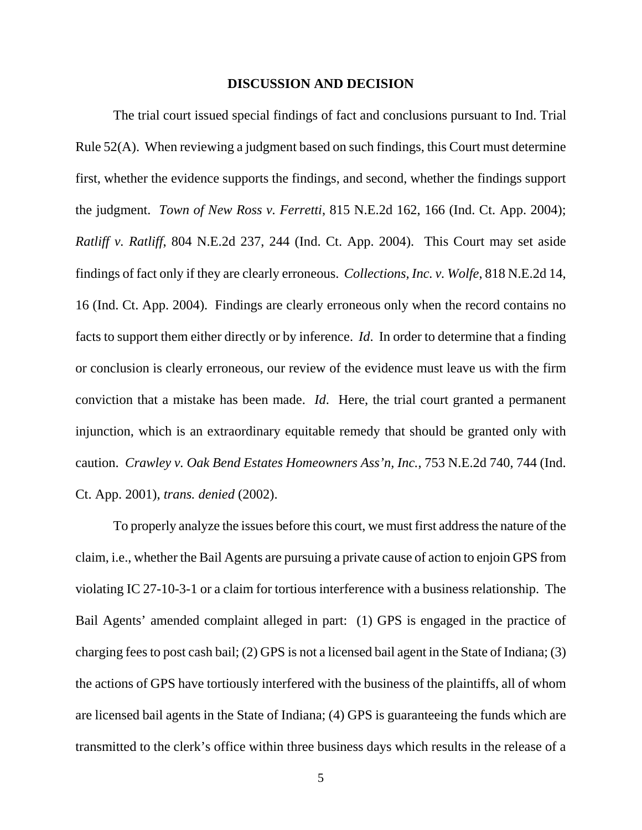#### **DISCUSSION AND DECISION**

 The trial court issued special findings of fact and conclusions pursuant to Ind. Trial Rule 52(A). When reviewing a judgment based on such findings, this Court must determine first, whether the evidence supports the findings, and second, whether the findings support the judgment. *Town of New Ross v. Ferretti*, 815 N.E.2d 162, 166 (Ind. Ct. App. 2004); *Ratliff v. Ratliff*, 804 N.E.2d 237, 244 (Ind. Ct. App. 2004). This Court may set aside findings of fact only if they are clearly erroneous. *Collections, Inc. v. Wolfe*, 818 N.E.2d 14, 16 (Ind. Ct. App. 2004). Findings are clearly erroneous only when the record contains no facts to support them either directly or by inference. *Id*. In order to determine that a finding or conclusion is clearly erroneous, our review of the evidence must leave us with the firm conviction that a mistake has been made. *Id*. Here, the trial court granted a permanent injunction, which is an extraordinary equitable remedy that should be granted only with caution. *Crawley v. Oak Bend Estates Homeowners Ass'n, Inc.*, 753 N.E.2d 740, 744 (Ind. Ct. App. 2001), *trans. denied* (2002).

 To properly analyze the issues before this court, we must first address the nature of the claim, i.e., whether the Bail Agents are pursuing a private cause of action to enjoin GPS from violating IC 27-10-3-1 or a claim for tortious interference with a business relationship. The Bail Agents' amended complaint alleged in part: (1) GPS is engaged in the practice of charging fees to post cash bail; (2) GPS is not a licensed bail agent in the State of Indiana; (3) the actions of GPS have tortiously interfered with the business of the plaintiffs, all of whom are licensed bail agents in the State of Indiana; (4) GPS is guaranteeing the funds which are transmitted to the clerk's office within three business days which results in the release of a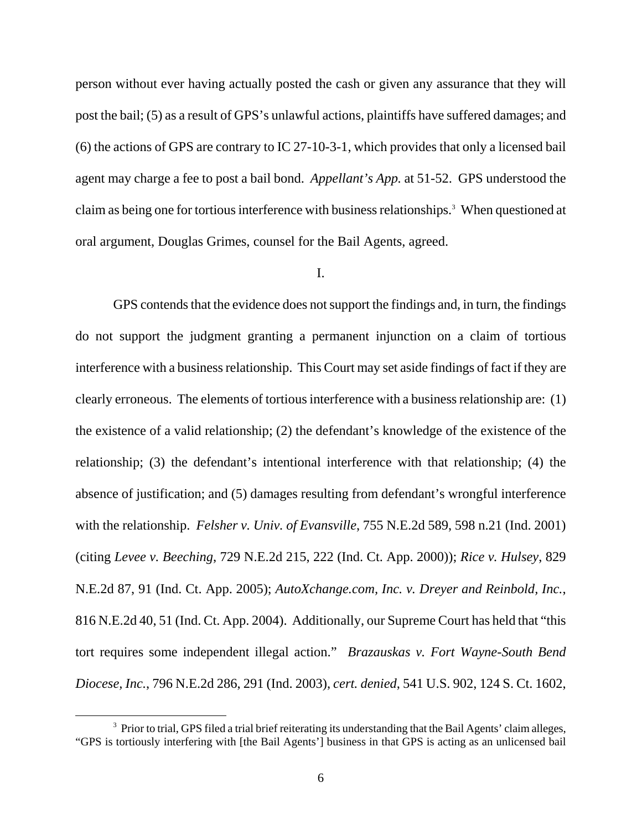person without ever having actually posted the cash or given any assurance that they will post the bail; (5) as a result of GPS's unlawful actions, plaintiffs have suffered damages; and (6) the actions of GPS are contrary to IC 27-10-3-1, which provides that only a licensed bail agent may charge a fee to post a bail bond. *Appellant's App.* at 51-52. GPS understood the claim as being one for tortious interference with business relationships.<sup>[3](#page-5-0)</sup> When questioned at oral argument, Douglas Grimes, counsel for the Bail Agents, agreed.

### I.

 GPS contends that the evidence does not support the findings and, in turn, the findings do not support the judgment granting a permanent injunction on a claim of tortious interference with a business relationship. This Court may set aside findings of fact if they are clearly erroneous. The elements of tortious interference with a business relationship are: (1) the existence of a valid relationship; (2) the defendant's knowledge of the existence of the relationship; (3) the defendant's intentional interference with that relationship; (4) the absence of justification; and (5) damages resulting from defendant's wrongful interference with the relationship. *Felsher v. Univ. of Evansville*, 755 N.E.2d 589, 598 n.21 (Ind. 2001) (citing *Levee v. Beeching*, 729 N.E.2d 215, 222 (Ind. Ct. App. 2000)); *Rice v. Hulsey*, 829 N.E.2d 87, 91 (Ind. Ct. App. 2005); *AutoXchange.com, Inc. v. Dreyer and Reinbold, Inc.*, 816 N.E.2d 40, 51 (Ind. Ct. App. 2004). Additionally, our Supreme Court has held that "this tort requires some independent illegal action." *Brazauskas v. Fort Wayne-South Bend Diocese, Inc.*, 796 N.E.2d 286, 291 (Ind. 2003), *cert. denied*, 541 U.S. 902, 124 S. Ct. 1602,

<span id="page-5-0"></span><sup>&</sup>lt;sup>3</sup> Prior to trial, GPS filed a trial brief reiterating its understanding that the Bail Agents' claim alleges, "GPS is tortiously interfering with [the Bail Agents'] business in that GPS is acting as an unlicensed bail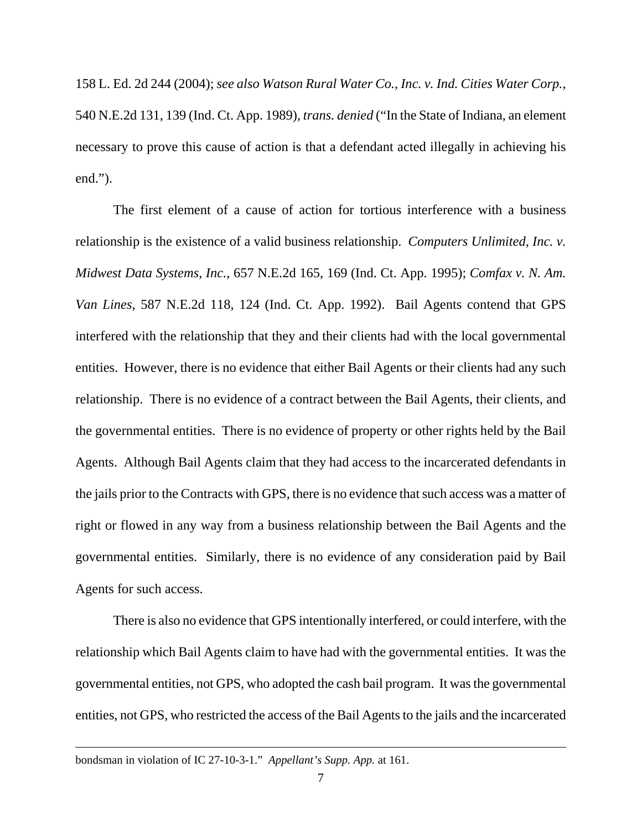158 L. Ed. 2d 244 (2004); *see also Watson Rural Water Co., Inc. v. Ind. Cities Water Corp.*, 540 N.E.2d 131, 139 (Ind. Ct. App. 1989), *trans. denied* ("In the State of Indiana, an element necessary to prove this cause of action is that a defendant acted illegally in achieving his end.").

 The first element of a cause of action for tortious interference with a business relationship is the existence of a valid business relationship. *Computers Unlimited, Inc. v. Midwest Data Systems, Inc.*, 657 N.E.2d 165, 169 (Ind. Ct. App. 1995); *Comfax v. N. Am. Van Lines*, 587 N.E.2d 118, 124 (Ind. Ct. App. 1992). Bail Agents contend that GPS interfered with the relationship that they and their clients had with the local governmental entities. However, there is no evidence that either Bail Agents or their clients had any such relationship. There is no evidence of a contract between the Bail Agents, their clients, and the governmental entities. There is no evidence of property or other rights held by the Bail Agents. Although Bail Agents claim that they had access to the incarcerated defendants in the jails prior to the Contracts with GPS, there is no evidence that such access was a matter of right or flowed in any way from a business relationship between the Bail Agents and the governmental entities. Similarly, there is no evidence of any consideration paid by Bail Agents for such access.

 There is also no evidence that GPS intentionally interfered, or could interfere, with the relationship which Bail Agents claim to have had with the governmental entities. It was the governmental entities, not GPS, who adopted the cash bail program. It was the governmental entities, not GPS, who restricted the access of the Bail Agents to the jails and the incarcerated

bondsman in violation of IC 27-10-3-1." *Appellant's Supp. App.* at 161.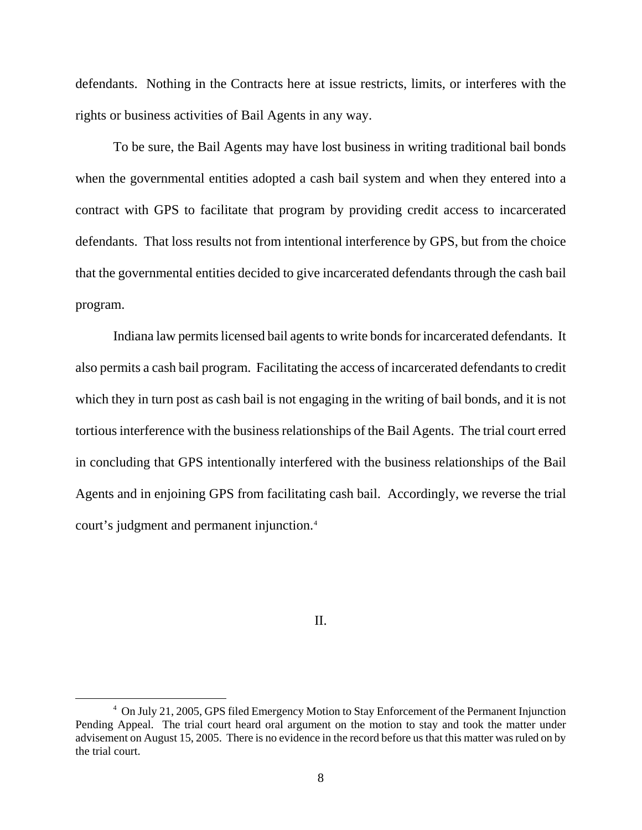defendants. Nothing in the Contracts here at issue restricts, limits, or interferes with the rights or business activities of Bail Agents in any way.

To be sure, the Bail Agents may have lost business in writing traditional bail bonds when the governmental entities adopted a cash bail system and when they entered into a contract with GPS to facilitate that program by providing credit access to incarcerated defendants. That loss results not from intentional interference by GPS, but from the choice that the governmental entities decided to give incarcerated defendants through the cash bail program.

Indiana law permits licensed bail agents to write bonds for incarcerated defendants. It also permits a cash bail program. Facilitating the access of incarcerated defendants to credit which they in turn post as cash bail is not engaging in the writing of bail bonds, and it is not tortious interference with the business relationships of the Bail Agents. The trial court erred in concluding that GPS intentionally interfered with the business relationships of the Bail Agents and in enjoining GPS from facilitating cash bail. Accordingly, we reverse the trial court's judgment and permanent injunction.[4](#page-7-0)

II.

<span id="page-7-0"></span><sup>&</sup>lt;sup>4</sup> On July 21, 2005, GPS filed Emergency Motion to Stay Enforcement of the Permanent Injunction Pending Appeal. The trial court heard oral argument on the motion to stay and took the matter under advisement on August 15, 2005. There is no evidence in the record before us that this matter was ruled on by the trial court.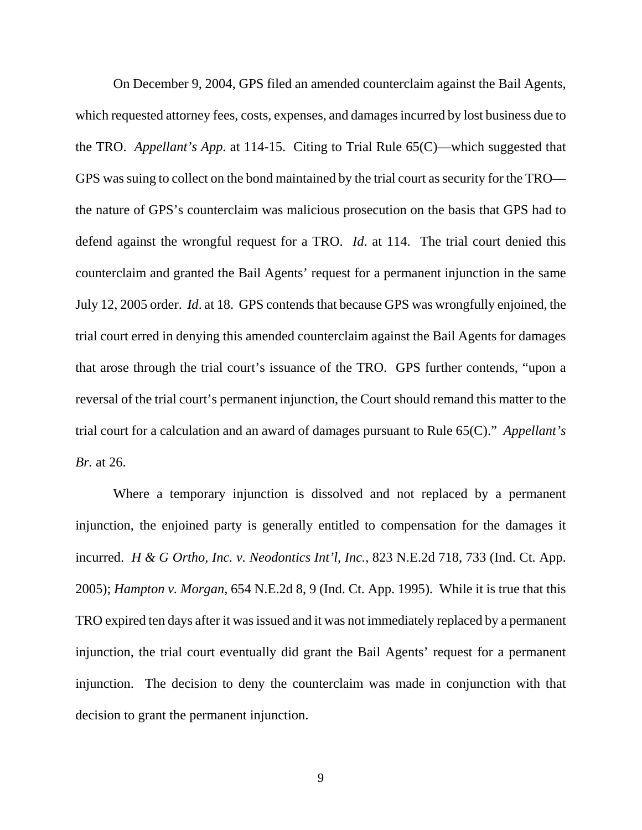On December 9, 2004, GPS filed an amended counterclaim against the Bail Agents, which requested attorney fees, costs, expenses, and damages incurred by lost business due to the TRO. *Appellant's App.* at 114-15. Citing to Trial Rule 65(C)—which suggested that GPS was suing to collect on the bond maintained by the trial court as security for the TRO the nature of GPS's counterclaim was malicious prosecution on the basis that GPS had to defend against the wrongful request for a TRO. *Id*. at 114. The trial court denied this counterclaim and granted the Bail Agents' request for a permanent injunction in the same July 12, 2005 order. *Id*. at 18. GPS contends that because GPS was wrongfully enjoined, the trial court erred in denying this amended counterclaim against the Bail Agents for damages that arose through the trial court's issuance of the TRO. GPS further contends, "upon a reversal of the trial court's permanent injunction, the Court should remand this matter to the trial court for a calculation and an award of damages pursuant to Rule 65(C)." *Appellant's Br.* at 26.

Where a temporary injunction is dissolved and not replaced by a permanent injunction, the enjoined party is generally entitled to compensation for the damages it incurred. *H & G Ortho, Inc. v. Neodontics Int'l, Inc.*, 823 N.E.2d 718, 733 (Ind. Ct. App. 2005); *Hampton v. Morgan*, 654 N.E.2d 8, 9 (Ind. Ct. App. 1995). While it is true that this TRO expired ten days after it was issued and it was not immediately replaced by a permanent injunction, the trial court eventually did grant the Bail Agents' request for a permanent injunction. The decision to deny the counterclaim was made in conjunction with that decision to grant the permanent injunction.